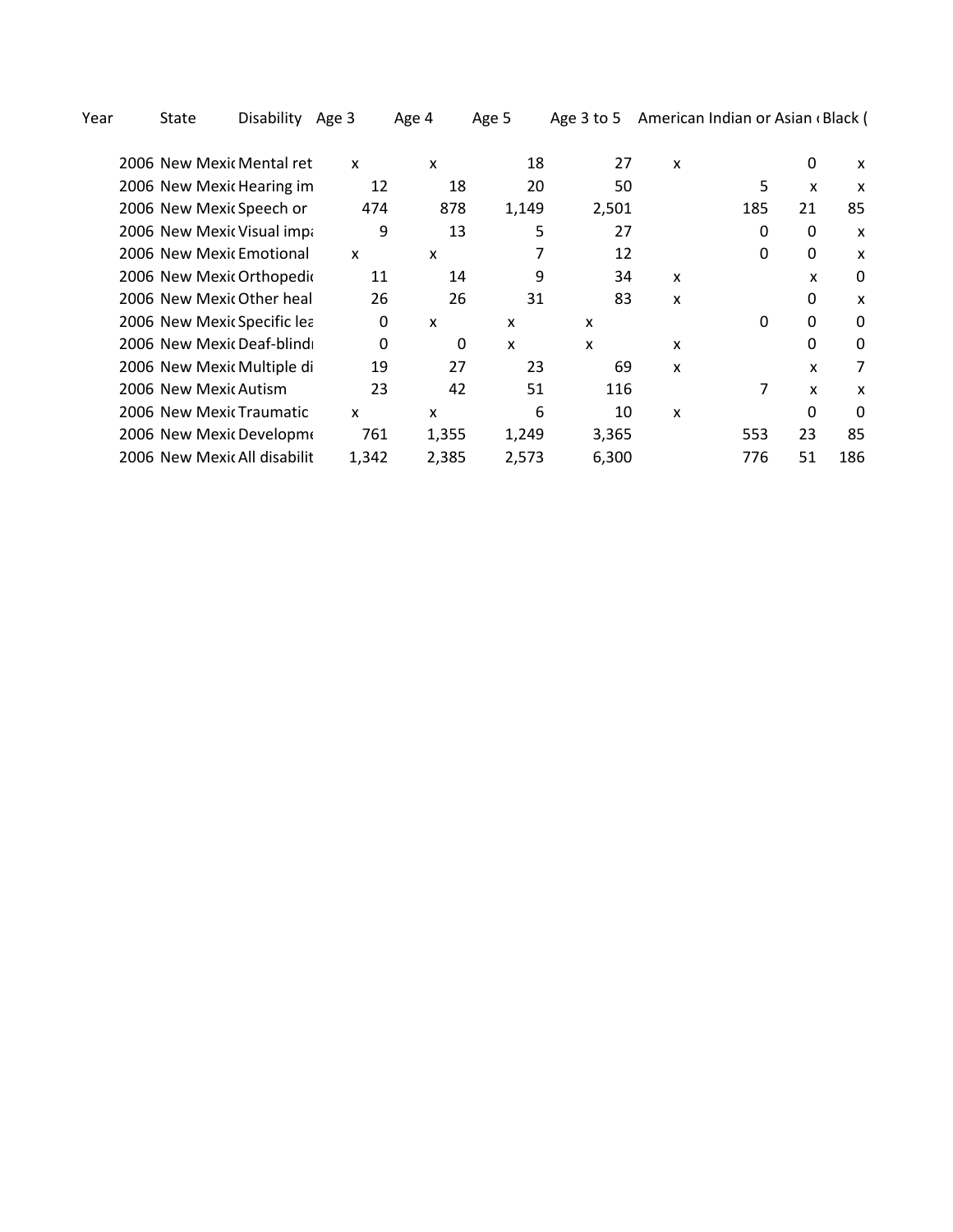Year State Disability Age 3 Age 4 Age 5 Age 3 to 5 American Indian or Asian (Black (

| 2006 New Mexic Mental ret    | x     | x     | 18    | 27    | x |     | 0  | x   |
|------------------------------|-------|-------|-------|-------|---|-----|----|-----|
| 2006 New Mexic Hearing im    | 12    | 18    | 20    | 50    |   | 5   | X  | x   |
| 2006 New Mexic Speech or     | 474   | 878   | 1,149 | 2,501 |   | 185 | 21 | 85  |
| 2006 New Mexic Visual impa   | 9     | 13    | 5     | 27    |   | 0   | 0  | X   |
| 2006 New Mexic Emotional     | X     | x     |       | 12    |   | 0   | 0  | x   |
| 2006 New Mexic Orthopedic    | 11    | 14    | 9     | 34    | X |     | x  | 0   |
| 2006 New Mexic Other heal    | 26    | 26    | 31    | 83    | x |     | 0  | x   |
| 2006 New Mexic Specific lea  | 0     | x     | x     | x     |   | 0   | 0  | 0   |
| 2006 New Mexic Deaf-blind    | 0     | 0     | X     | X     | x |     | 0  | 0   |
| 2006 New Mexic Multiple di   | 19    | 27    | 23    | 69    | X |     | X  | 7   |
| 2006 New Mexic Autism        | 23    | 42    | 51    | 116   |   | 7   | x  | x   |
| 2006 New Mexic Traumatic     | x     | x     | 6     | 10    | x |     | 0  | 0   |
| 2006 New Mexic Developme     | 761   | 1,355 | 1,249 | 3,365 |   | 553 | 23 | 85  |
| 2006 New Mexic All disabilit | 1,342 | 2,385 | 2,573 | 6,300 |   | 776 | 51 | 186 |
|                              |       |       |       |       |   |     |    |     |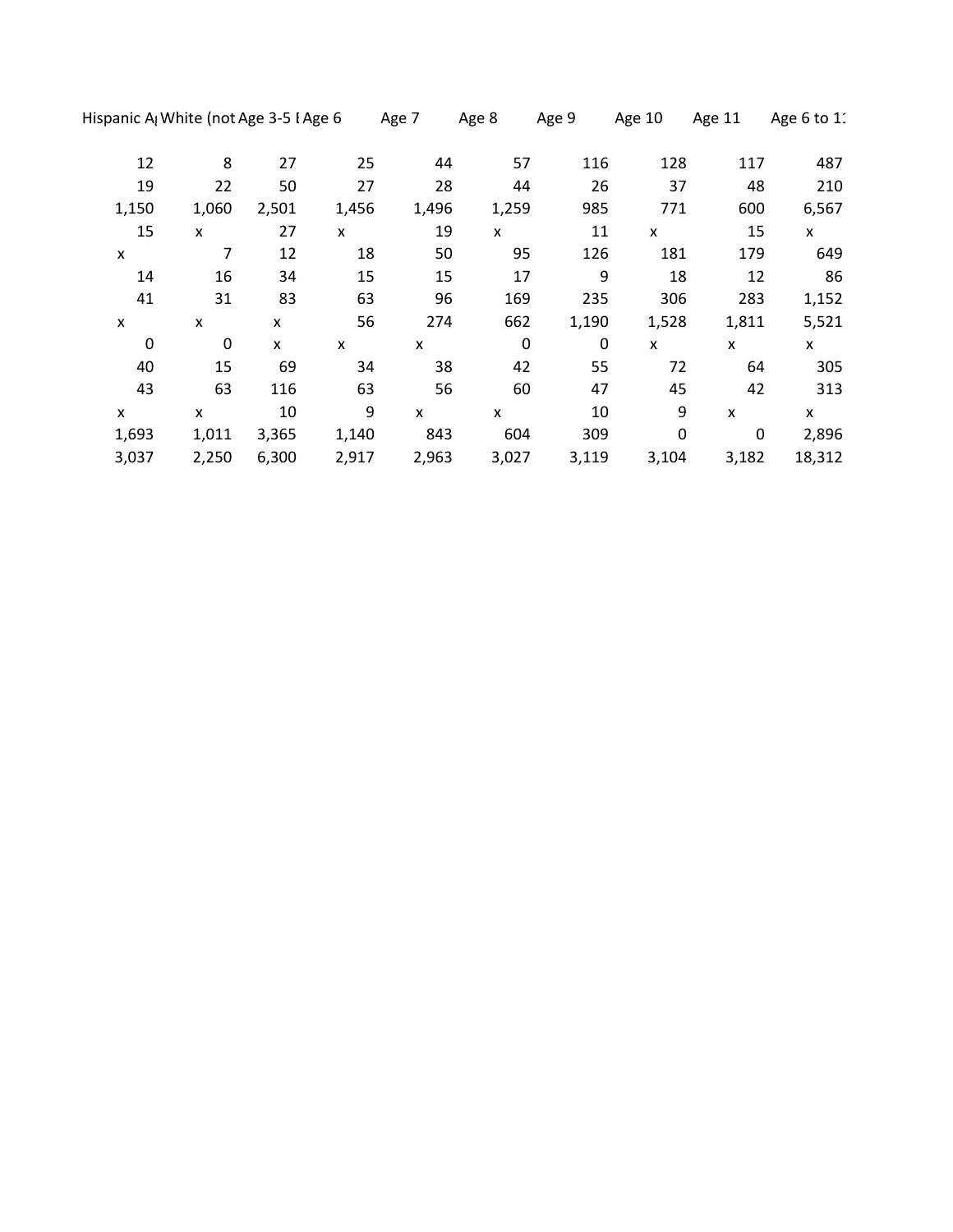|   |                  |       | Hispanic A <sub>l</sub> White (not Age 3-5 I Age 6 |       | Age 7 | Age 8       | Age 9       | Age 10      | Age 11 | Age 6 to 11 |
|---|------------------|-------|----------------------------------------------------|-------|-------|-------------|-------------|-------------|--------|-------------|
|   | 12               | 8     | 27                                                 | 25    | 44    | 57          | 116         | 128         | 117    | 487         |
|   | 19               | 22    | 50                                                 | 27    | 28    | 44          | 26          | 37          | 48     | 210         |
|   | 1,150            | 1,060 | 2,501                                              | 1,456 | 1,496 | 1,259       | 985         | 771         | 600    | 6,567       |
|   | 15               | X     | 27                                                 | X     | 19    | X           | 11          | X           | 15     | X           |
| X |                  | 7     | 12                                                 | 18    | 50    | 95          | 126         | 181         | 179    | 649         |
|   | 14               | 16    | 34                                                 | 15    | 15    | 17          | 9           | 18          | 12     | 86          |
|   | 41               | 31    | 83                                                 | 63    | 96    | 169         | 235         | 306         | 283    | 1,152       |
| X |                  | x     | X                                                  | 56    | 274   | 662         | 1,190       | 1,528       | 1,811  | 5,521       |
|   | $\boldsymbol{0}$ | 0     | $\pmb{\mathsf{x}}$                                 | X     | X     | $\mathbf 0$ | $\mathbf 0$ | X           | x      | X           |
|   | 40               | 15    | 69                                                 | 34    | 38    | 42          | 55          | 72          | 64     | 305         |
|   | 43               | 63    | 116                                                | 63    | 56    | 60          | 47          | 45          | 42     | 313         |
| X |                  | X     | 10                                                 | 9     | X     | X           | 10          | 9           | X      | X           |
|   | 1,693            | 1,011 | 3,365                                              | 1,140 | 843   | 604         | 309         | $\mathbf 0$ | 0      | 2,896       |
|   | 3,037            | 2,250 | 6,300                                              | 2,917 | 2,963 | 3,027       | 3,119       | 3,104       | 3,182  | 18,312      |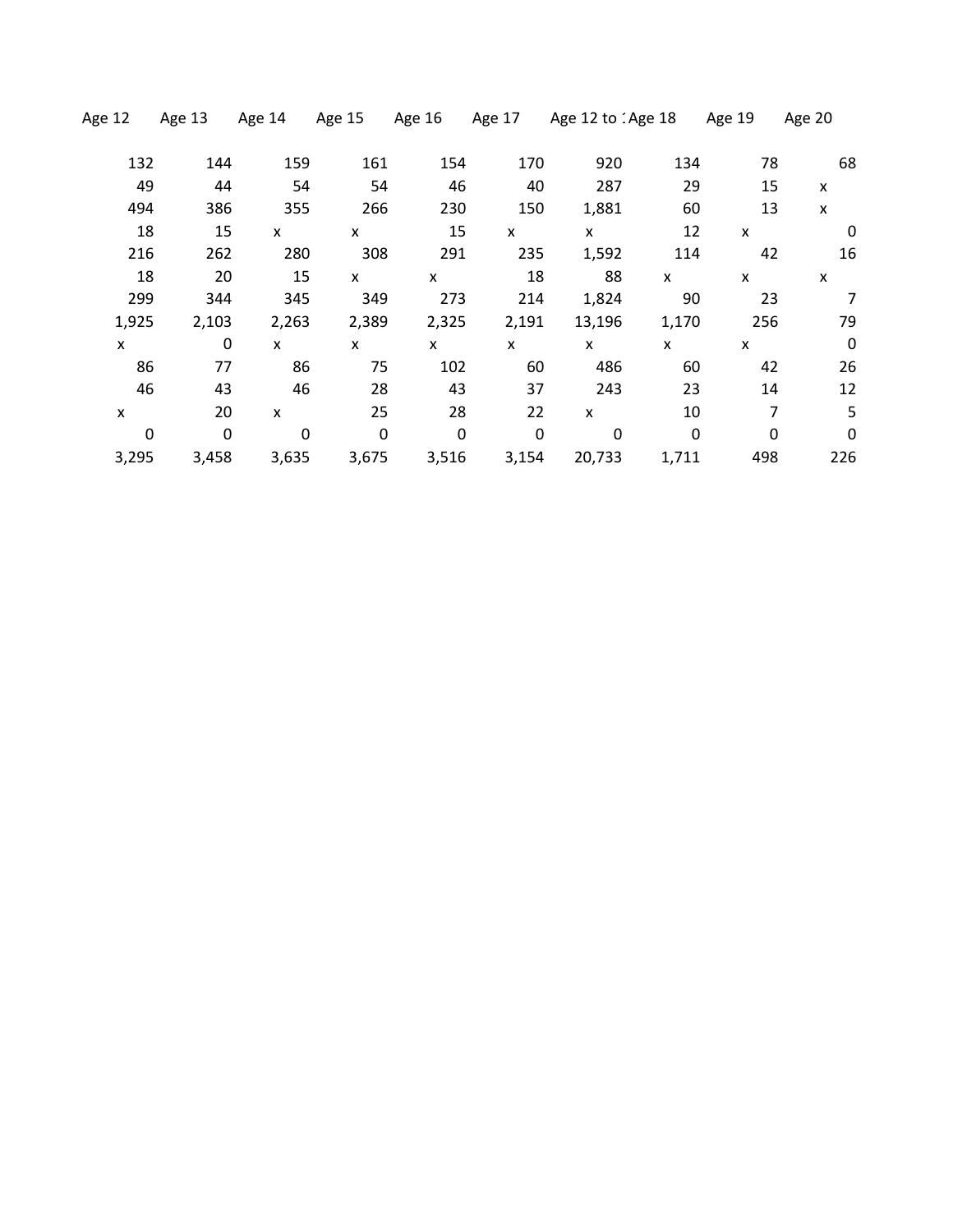| Age 12      | Age 13 | Age 14         | Age 15      | Age 16      | Age 17 | Age 12 to 1Age 18 |              | Age 19 | Age 20                    |
|-------------|--------|----------------|-------------|-------------|--------|-------------------|--------------|--------|---------------------------|
| 132         | 144    | 159            | 161         | 154         | 170    | 920               | 134          | 78     | 68                        |
| 49          | 44     | 54             | 54          | 46          | 40     | 287               | 29           | 15     | X                         |
| 494         | 386    | 355            | 266         | 230         | 150    | 1,881             | 60           | 13     | $\boldsymbol{\mathsf{x}}$ |
| 18          | 15     | X              | X           | 15          | X      | X                 | 12           | X      | 0                         |
| 216         | 262    | 280            | 308         | 291         | 235    | 1,592             | 114          | 42     | 16                        |
| 18          | 20     | 15             | X           | X           | 18     | 88                | X            | X      | X                         |
| 299         | 344    | 345            | 349         | 273         | 214    | 1,824             | 90           | 23     | 7                         |
| 1,925       | 2,103  | 2,263          | 2,389       | 2,325       | 2,191  | 13,196            | 1,170        | 256    | 79                        |
| X           | 0      | $\mathsf{x}$   | X           | X           | x      | <b>X</b>          | X            | X      | $\mathbf 0$               |
| 86          | 77     | 86             | 75          | 102         | 60     | 486               | 60           | 42     | 26                        |
| 46          | 43     | 46             | 28          | 43          | 37     | 243               | 23           | 14     | 12                        |
| X           | 20     | $\pmb{\times}$ | 25          | 28          | 22     | X                 | 10           | 7      | 5                         |
| $\mathbf 0$ | 0      | $\mathbf 0$    | $\mathbf 0$ | $\mathbf 0$ | 0      | 0                 | $\mathbf{0}$ | 0      | $\mathbf 0$               |
| 3,295       | 3,458  | 3,635          | 3,675       | 3,516       | 3,154  | 20,733            | 1,711        | 498    | 226                       |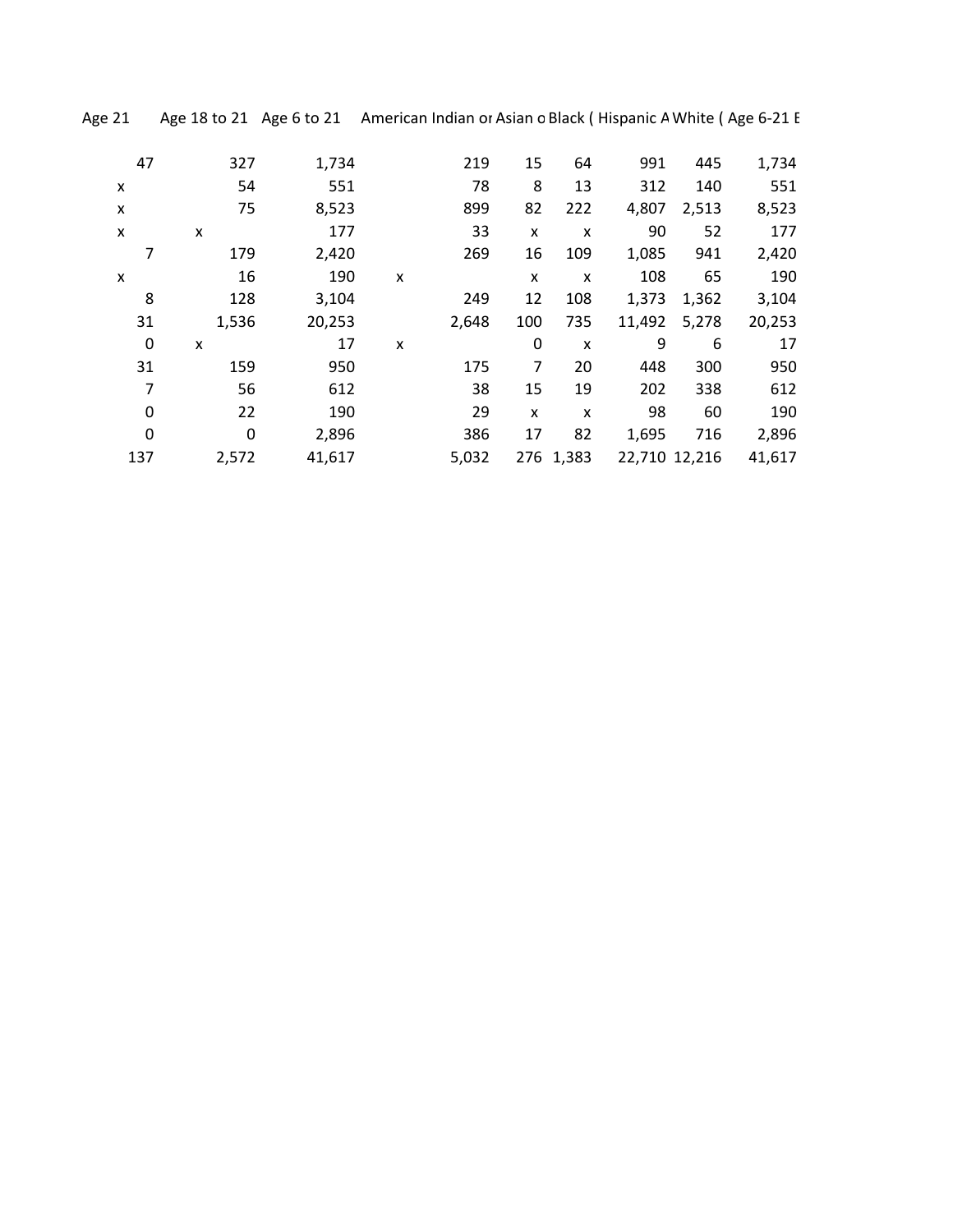Age 21 Age 18 to 21 Age 6 to 21 American Indian or Asian o Black (Hispanic A White (Age 6-21 E

| 47  | 327   | 1,734  |   | 219   | 15  | 64        | 991    | 445           | 1,734  |
|-----|-------|--------|---|-------|-----|-----------|--------|---------------|--------|
| X   | 54    | 551    |   | 78    | 8   | 13        | 312    | 140           | 551    |
| X   | 75    | 8,523  |   | 899   | 82  | 222       | 4,807  | 2,513         | 8,523  |
| X   | x     | 177    |   | 33    | x   | X         | 90     | 52            | 177    |
|     | 179   | 2,420  |   | 269   | 16  | 109       | 1,085  | 941           | 2,420  |
| X   | 16    | 190    | X |       | X   | X         | 108    | 65            | 190    |
| 8   | 128   | 3,104  |   | 249   | 12  | 108       | 1,373  | 1,362         | 3,104  |
| 31  | 1,536 | 20,253 |   | 2,648 | 100 | 735       | 11,492 | 5,278         | 20,253 |
| 0   | X     | 17     | X |       | 0   | X         | 9      | 6             | 17     |
| 31  | 159   | 950    |   | 175   | 7   | 20        | 448    | 300           | 950    |
| 7   | 56    | 612    |   | 38    | 15  | 19        | 202    | 338           | 612    |
| 0   | 22    | 190    |   | 29    | x   | X         | 98     | 60            | 190    |
| 0   | 0     | 2,896  |   | 386   | 17  | 82        | 1,695  | 716           | 2,896  |
| 137 | 2,572 | 41,617 |   | 5,032 |     | 276 1,383 |        | 22,710 12,216 | 41,617 |